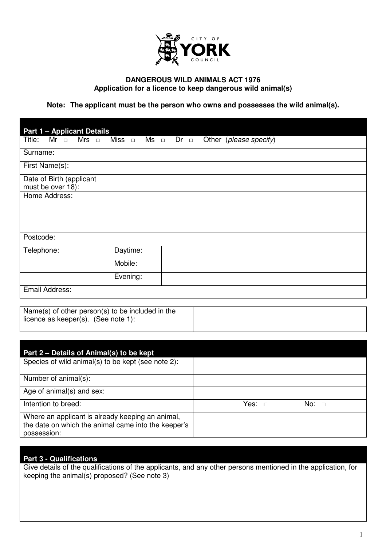

### **DANGEROUS WILD ANIMALS ACT 1976 Application for a licence to keep dangerous wild animal(s)**

**Note: The applicant must be the person who owns and possesses the wild animal(s).** 

| <b>Part 1 - Applicant Details</b>             |                                                                                    |  |
|-----------------------------------------------|------------------------------------------------------------------------------------|--|
|                                               | Title: Mr $\Box$ Mrs $\Box$ Miss $\Box$ Ms $\Box$ Dr $\Box$ Other (please specify) |  |
| Surname:                                      |                                                                                    |  |
| First Name(s):                                |                                                                                    |  |
| Date of Birth (applicant<br>must be over 18): |                                                                                    |  |
| Home Address:                                 |                                                                                    |  |
|                                               |                                                                                    |  |
|                                               |                                                                                    |  |
| Postcode:                                     |                                                                                    |  |
| Telephone:                                    | Daytime:                                                                           |  |
|                                               | Mobile:                                                                            |  |
|                                               | Evening:                                                                           |  |
| Email Address:                                |                                                                                    |  |

Name(s) of other person(s) to be included in the licence as keeper(s). (See note 1):

| Part 2 – Details of Animal(s) to be kept<br>Species of wild animal(s) to be kept (see note 2):                         |            |
|------------------------------------------------------------------------------------------------------------------------|------------|
|                                                                                                                        |            |
| Number of animal(s):                                                                                                   |            |
| Age of animal(s) and sex:                                                                                              |            |
| Intention to breed:                                                                                                    | No: $\Box$ |
| Where an applicant is already keeping an animal,<br>the date on which the animal came into the keeper's<br>possession: |            |

#### **Part 3 - Qualifications**

Give details of the qualifications of the applicants, and any other persons mentioned in the application, for keeping the animal(s) proposed? (See note 3)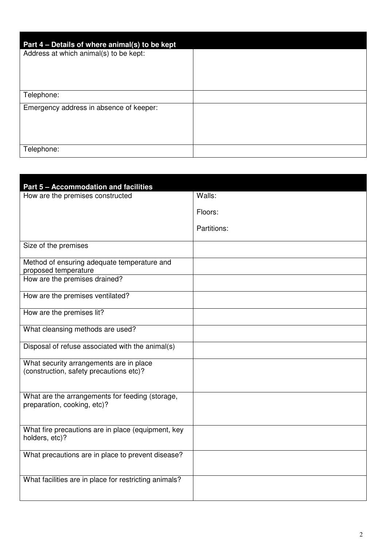| Part 4 – Details of where animal(s) to be kept |  |
|------------------------------------------------|--|
| Address at which animal(s) to be kept:         |  |
|                                                |  |
|                                                |  |
| Telephone:                                     |  |
| Emergency address in absence of keeper:        |  |
|                                                |  |
|                                                |  |
| Telephone:                                     |  |

| Part 5 - Accommodation and facilities                                              |             |
|------------------------------------------------------------------------------------|-------------|
| How are the premises constructed                                                   | Walls:      |
|                                                                                    | Floors:     |
|                                                                                    | Partitions: |
| Size of the premises                                                               |             |
| Method of ensuring adequate temperature and<br>proposed temperature                |             |
| How are the premises drained?                                                      |             |
| How are the premises ventilated?                                                   |             |
| How are the premises lit?                                                          |             |
| What cleansing methods are used?                                                   |             |
| Disposal of refuse associated with the animal(s)                                   |             |
| What security arrangements are in place<br>(construction, safety precautions etc)? |             |
| What are the arrangements for feeding (storage,<br>preparation, cooking, etc)?     |             |
| What fire precautions are in place (equipment, key<br>holders, etc)?               |             |
| What precautions are in place to prevent disease?                                  |             |
| What facilities are in place for restricting animals?                              |             |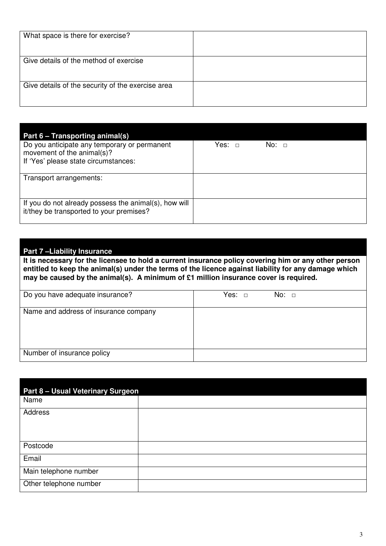| What space is there for exercise?                 |  |
|---------------------------------------------------|--|
| Give details of the method of exercise            |  |
| Give details of the security of the exercise area |  |

| Part 6 – Transporting animal(s)                                                                   |                  |
|---------------------------------------------------------------------------------------------------|------------------|
| Do you anticipate any temporary or permanent<br>movement of the animal(s)?                        | Yes: □<br>No:  ⊓ |
| If 'Yes' please state circumstances:                                                              |                  |
| Transport arrangements:                                                                           |                  |
| If you do not already possess the animal(s), how will<br>it/they be transported to your premises? |                  |

## **Part 7 –Liability Insurance**

**It is necessary for the licensee to hold a current insurance policy covering him or any other person**  entitled to keep the animal(s) under the terms of the licence against liability for any damage which **may be caused by the animal(s). A minimum of £1 million insurance cover is required.** 

| Do you have adequate insurance?       | No: $\Box$ |
|---------------------------------------|------------|
| Name and address of insurance company |            |
|                                       |            |
| Number of insurance policy            |            |

| <b>Part 8 - Usual Veterinary Surgeon</b> |
|------------------------------------------|
|                                          |
|                                          |
|                                          |
|                                          |
|                                          |
|                                          |
|                                          |
|                                          |
|                                          |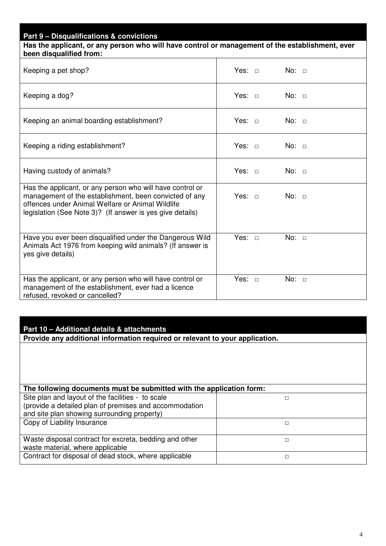# **Part 9 – Disqualifications & convictions Has the applicant, or any person who will have control or management of the establishment, ever been disqualified from:**  Keeping a pet shop? Yes: □ No: □ Keeping a dog? Yes: □ No: □ Keeping an animal boarding establishment?  $\vert$  Yes: □ No: □ Keeping a riding establishment?  $\overline{ }$  Yes: □ No: □ Having custody of animals? The Most Control of Alexing Custody of animals? The Most Control of Alexing Control of Alexing Control of Alexing Control of Alexing Control of Alexing Control of Alexing Control of Alexing Cont Has the applicant, or any person who will have control or management of the establishment, been convicted of any offences under Animal Welfare or Animal Wildlife legislation (See Note 3)? (If answer is yes give details) Yes: □ No: □ Have you ever been disqualified under the Dangerous Wild Animals Act 1976 from keeping wild animals? (If answer is yes give details) Yes: □ No: □ Has the applicant, or any person who will have control or management of the establishment, ever had a licence refused, revoked or cancelled? Yes: □ No: □

### **Part 10 – Additional details & attachments**

**Provide any additional information required or relevant to your application.** 

| The following documents must be submitted with the application form:                                                                                       |  |
|------------------------------------------------------------------------------------------------------------------------------------------------------------|--|
| Site plan and layout of the facilities - to scale<br>(provide a detailed plan of premises and accommodation<br>and site plan showing surrounding property) |  |
| Copy of Liability Insurance                                                                                                                                |  |
| Waste disposal contract for excreta, bedding and other<br>waste material, where applicable                                                                 |  |
| Contract for disposal of dead stock, where applicable                                                                                                      |  |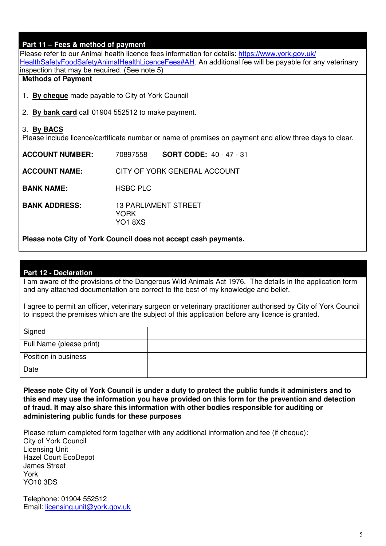# **Part 11 – Fees & method of payment**

[Please refer to our Animal health licence fees information for details: https://www.york.gov.uk/](https://www.york.gov.uk/HealthSafetyFoodSafetyAnimalHealthLicenceFees#AH) HealthSafetyFoodSafetyAnimalHealthLicenceFees#AH. An additional fee will be payable for any veterinary inspection that may be required. (See note 5) **Methods of Payment**  1. **By cheque** made payable to City of York Council 2. **By bank card** call 01904 552512 to make payment. 3. **By BACS** Please include licence/certificate number or name of premises on payment and allow three days to clear. **ACCOUNT NUMBER:** 70897558 **SORT CODE:** 40 - 47 - 31 **ACCOUNT NAME:** CITY OF YORK GENERAL ACCOUNT **BANK NAME:** HSBC PLC **BANK ADDRESS:** 13 PARLIAMENT STREET **YORK** 

**Please note City of York Council does not accept cash payments.**

YO1 8XS

#### **Part 12 - Declaration**

I am aware of the provisions of the Dangerous Wild Animals Act 1976. The details in the application form and any attached documentation are correct to the best of my knowledge and belief.

I agree to permit an officer, veterinary surgeon or veterinary practitioner authorised by City of York Council to inspect the premises which are the subject of this application before any licence is granted.

| Signed                   |  |
|--------------------------|--|
| Full Name (please print) |  |
| Position in business     |  |
| Date                     |  |

**Please note City of York Council is under a duty to protect the public funds it administers and to this end may use the information you have provided on this form for the prevention and detection of fraud. It may also share this information with other bodies responsible for auditing or administering public funds for these purposes** 

Please return completed form together with any additional information and fee (if cheque): City of York Council Licensing Unit Hazel Court EcoDepot James Street York YO10 3DS

Telephone: 01904 552512 Email: licensing.unit@york.gov.uk